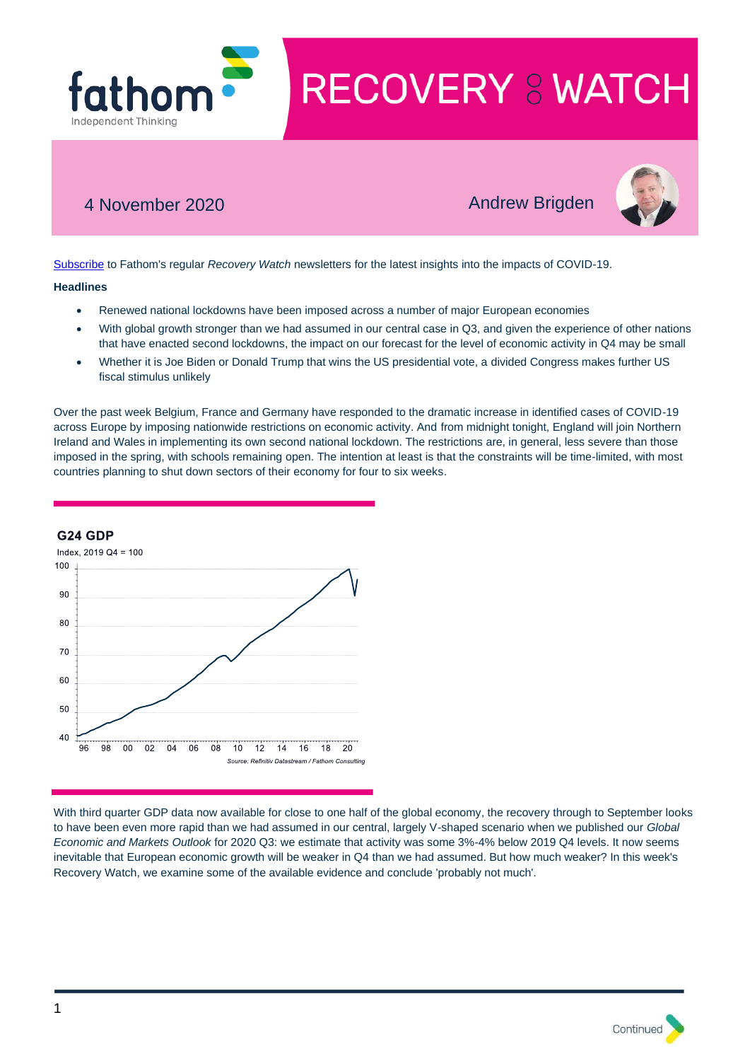

# 4 November 2020 **Andrew Brigden**



[Subscribe](http://r20.rs6.net/tn.jsp?f=001Y8d7mXfRBy0_tt9ObLajdZU8AZABS9BHYQEDh7YpCRj0dn78RrOoAivsUqksccSYZHk1FvsMgQwsi4064oK_ffkLkA_uLNbZhr5J6cWsAn81MrIQmI-KLZfAGfF77227kqca_7xaaztiKm67V3msLVQ6OQEAeuwX3OqVtf3cm94aYvKb57ok7tm7Waup4AiUMnBOX5hKdbjfFbSbF9qs6UnZyegNU_iz&c=c_27EmxyeocbDZ43bHzvRHVSxtcXDhGAKan9nQEKg6msrfm3Wp0IFw==&ch=A7R9ugbXtheKpB2hUbgzZ5G8wxKXLDdKsJ66eAdyBCa6pim0kBAAjA==) to Fathom's regular *Recovery Watch* newsletters for the latest insights into the impacts of COVID-19.

#### **Headlines**

- Renewed national lockdowns have been imposed across a number of major European economies
- With global growth stronger than we had assumed in our central case in Q3, and given the experience of other nations that have enacted second lockdowns, the impact on our forecast for the level of economic activity in Q4 may be small
- Whether it is Joe Biden or Donald Trump that wins the US presidential vote, a divided Congress makes further US fiscal stimulus unlikely

Over the past week Belgium, France and Germany have responded to the dramatic increase in identified cases of COVID-19 across Europe by imposing nationwide restrictions on economic activity. And from midnight tonight, England will join Northern Ireland and Wales in implementing its own second national lockdown. The restrictions are, in general, less severe than those imposed in the spring, with schools remaining open. The intention at least is that the constraints will be time-limited, with most countries planning to shut down sectors of their economy for four to six weeks.



G<sub>24</sub> GDP

With third quarter GDP data now available for close to one half of the global economy, the recovery through to September looks to have been even more rapid than we had assumed in our central, largely V-shaped scenario when we published our *Global Economic and Markets Outlook* for 2020 Q3: we estimate that activity was some 3%-4% below 2019 Q4 levels. It now seems inevitable that European economic growth will be weaker in Q4 than we had assumed. But how much weaker? In this week's Recovery Watch, we examine some of the available evidence and conclude 'probably not much'.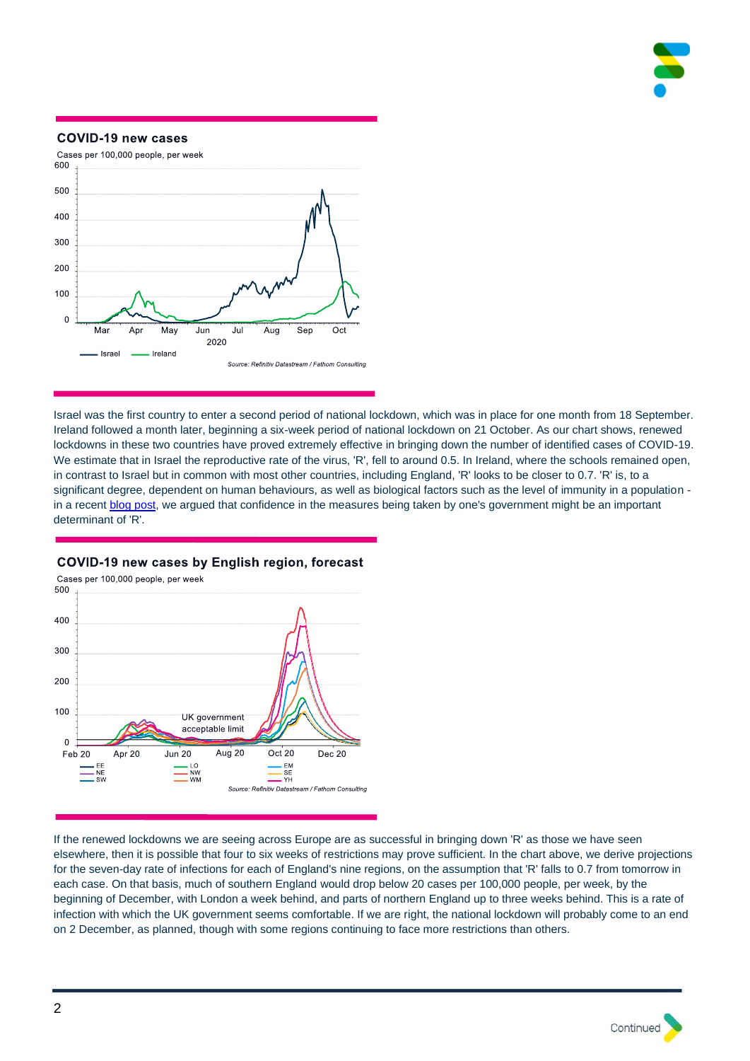

### **COVID-19 new cases**



Israel was the first country to enter a second period of national lockdown, which was in place for one month from 18 September. Ireland followed a month later, beginning a six-week period of national lockdown on 21 October. As our chart shows, renewed lockdowns in these two countries have proved extremely effective in bringing down the number of identified cases of COVID-19. We estimate that in Israel the reproductive rate of the virus, 'R', fell to around 0.5. In Ireland, where the schools remained open, in contrast to Israel but in common with most other countries, including England, 'R' looks to be closer to 0.7. 'R' is, to a significant degree, dependent on human behaviours, as well as biological factors such as the level of immunity in a population in a recent [blog post,](https://www.fathom-consulting.com/its-not-just-coughs-and-sneezes-that-spread-diseases/) we argued that confidence in the measures being taken by one's government might be an important determinant of 'R'.



## COVID-19 new cases by English region, forecast

If the renewed lockdowns we are seeing across Europe are as successful in bringing down 'R' as those we have seen elsewhere, then it is possible that four to six weeks of restrictions may prove sufficient. In the chart above, we derive projections for the seven-day rate of infections for each of England's nine regions, on the assumption that 'R' falls to 0.7 from tomorrow in each case. On that basis, much of southern England would drop below 20 cases per 100,000 people, per week, by the beginning of December, with London a week behind, and parts of northern England up to three weeks behind. This is a rate of infection with which the UK government seems comfortable. If we are right, the national lockdown will probably come to an end on 2 December, as planned, though with some regions continuing to face more restrictions than others.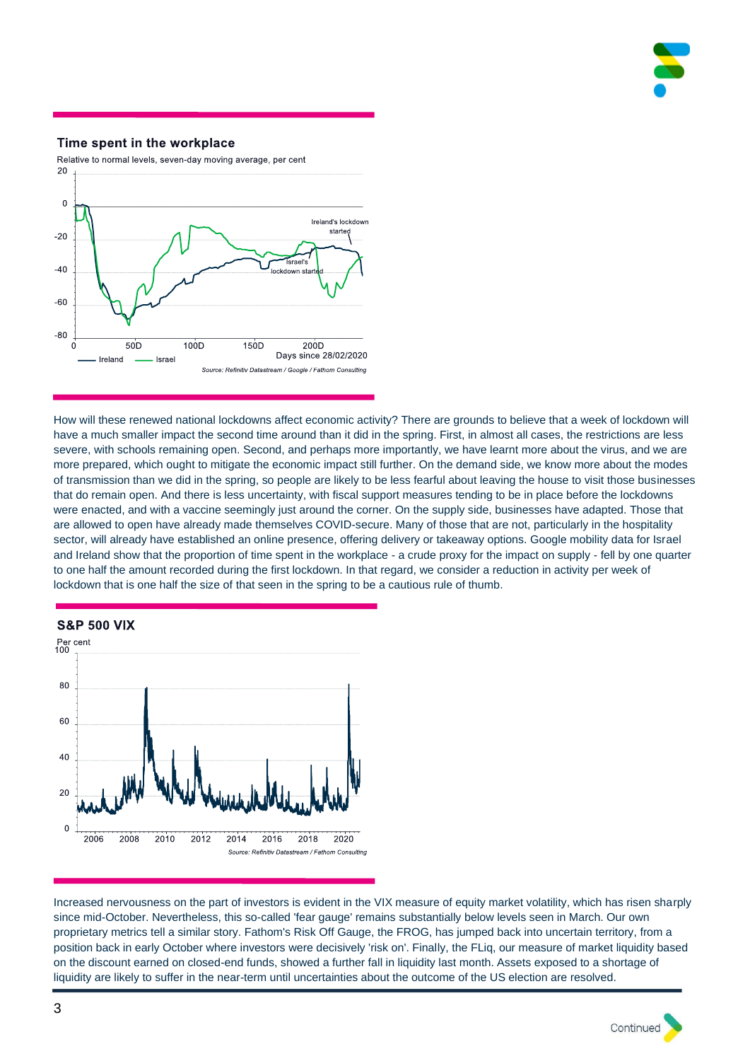

# Time spent in the workplace



How will these renewed national lockdowns affect economic activity? There are grounds to believe that a week of lockdown will have a much smaller impact the second time around than it did in the spring. First, in almost all cases, the restrictions are less severe, with schools remaining open. Second, and perhaps more importantly, we have learnt more about the virus, and we are more prepared, which ought to mitigate the economic impact still further. On the demand side, we know more about the modes of transmission than we did in the spring, so people are likely to be less fearful about leaving the house to visit those businesses that do remain open. And there is less uncertainty, with fiscal support measures tending to be in place before the lockdowns were enacted, and with a vaccine seemingly just around the corner. On the supply side, businesses have adapted. Those that are allowed to open have already made themselves COVID-secure. Many of those that are not, particularly in the hospitality sector, will already have established an online presence, offering delivery or takeaway options. Google mobility data for Israel and Ireland show that the proportion of time spent in the workplace - a crude proxy for the impact on supply - fell by one quarter to one half the amount recorded during the first lockdown. In that regard, we consider a reduction in activity per week of lockdown that is one half the size of that seen in the spring to be a cautious rule of thumb.



Increased nervousness on the part of investors is evident in the VIX measure of equity market volatility, which has risen sharply since mid-October. Nevertheless, this so-called 'fear gauge' remains substantially below levels seen in March. Our own proprietary metrics tell a similar story. Fathom's Risk Off Gauge, the FROG, has jumped back into uncertain territory, from a position back in early October where investors were decisively 'risk on'. Finally, the FLiq, our measure of market liquidity based on the discount earned on closed-end funds, showed a further fall in liquidity last month. Assets exposed to a shortage of liquidity are likely to suffer in the near-term until uncertainties about the outcome of the US election are resolved.

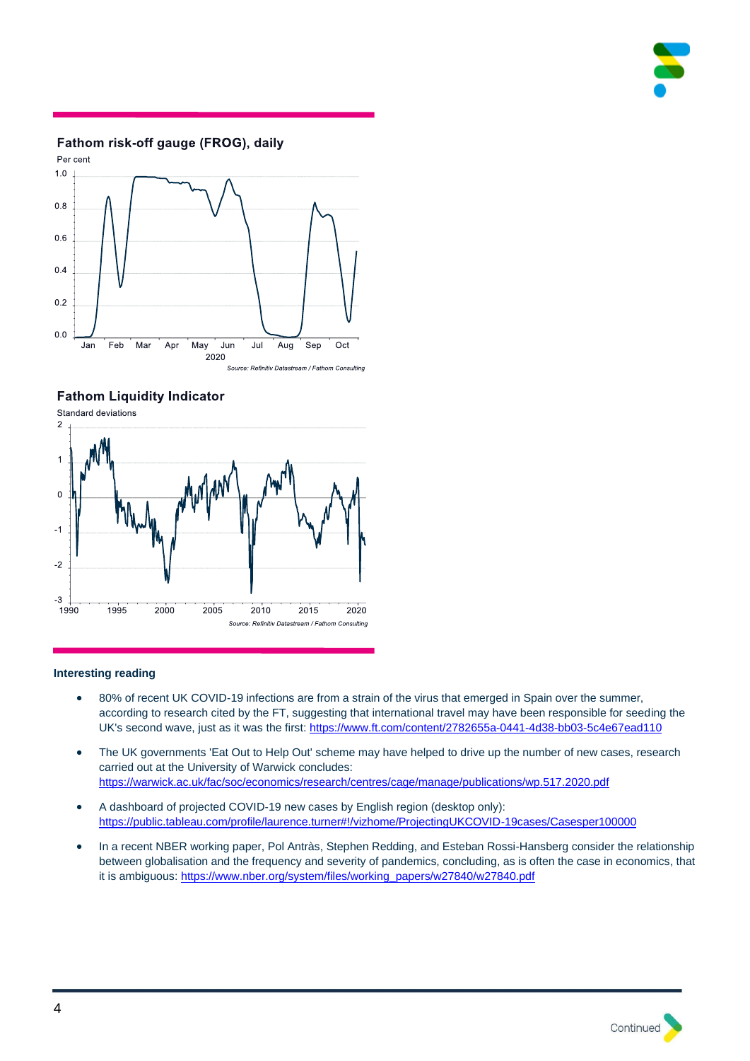

# Fathom risk-off gauge (FROG), daily



**Fathom Liquidity Indicator** 



## **Interesting reading**

- 80% of recent UK COVID-19 infections are from a strain of the virus that emerged in Spain over the summer, according to research cited by the FT, suggesting that international travel may have been responsible for seeding the UK's second wave, just as it was the first: [https://www.ft.com/content/2782655a-0441-4d38-bb03-5c4e67ead110](http://r20.rs6.net/tn.jsp?t=bqyjoabbb.0.0.zlpf4rsab.0&id=preview&r=3&p=https%3A%2F%2Fwww.ft.com%2Fcontent%2F2782655a-0441-4d38-bb03-5c4e67ead110)
- The UK governments 'Eat Out to Help Out' scheme may have helped to drive up the number of new cases, research carried out at the University of Warwick concludes: [https://warwick.ac.uk/fac/soc/economics/research/centres/cage/manage/publications/wp.517.2020.pdf](http://r20.rs6.net/tn.jsp?t=bqyjoabbb.0.0.zlpf4rsab.0&id=preview&r=3&p=https%3A%2F%2Fwarwick.ac.uk%2Ffac%2Fsoc%2Feconomics%2Fresearch%2Fcentres%2Fcage%2Fmanage%2Fpublications%2Fwp.517.2020.pdf)
- A dashboard of projected COVID-19 new cases by English region (desktop only): [https://public.tableau.com/profile/laurence.turner#!/vizhome/ProjectingUKCOVID-19cases/Casesper100000](http://r20.rs6.net/tn.jsp?t=bqyjoabbb.0.0.zlpf4rsab.0&id=preview&r=3&p=https%3A%2F%2Fpublic.tableau.com%2Fprofile%2Flaurence.turner%23%21%2Fvizhome%2FProjectingUKCOVID-19cases%2FCasesper100000)
- In a recent NBER working paper, Pol Antràs, Stephen Redding, and Esteban Rossi-Hansberg consider the relationship between globalisation and the frequency and severity of pandemics, concluding, as is often the case in economics, that it is ambiguous[: https://www.nber.org/system/files/working\\_papers/w27840/w27840.pdf](http://r20.rs6.net/tn.jsp?t=bqyjoabbb.0.0.zlpf4rsab.0&id=preview&r=3&p=https%3A%2F%2Fwww.nber.org%2Fsystem%2Ffiles%2Fworking_papers%2Fw27840%2Fw27840.pdf)